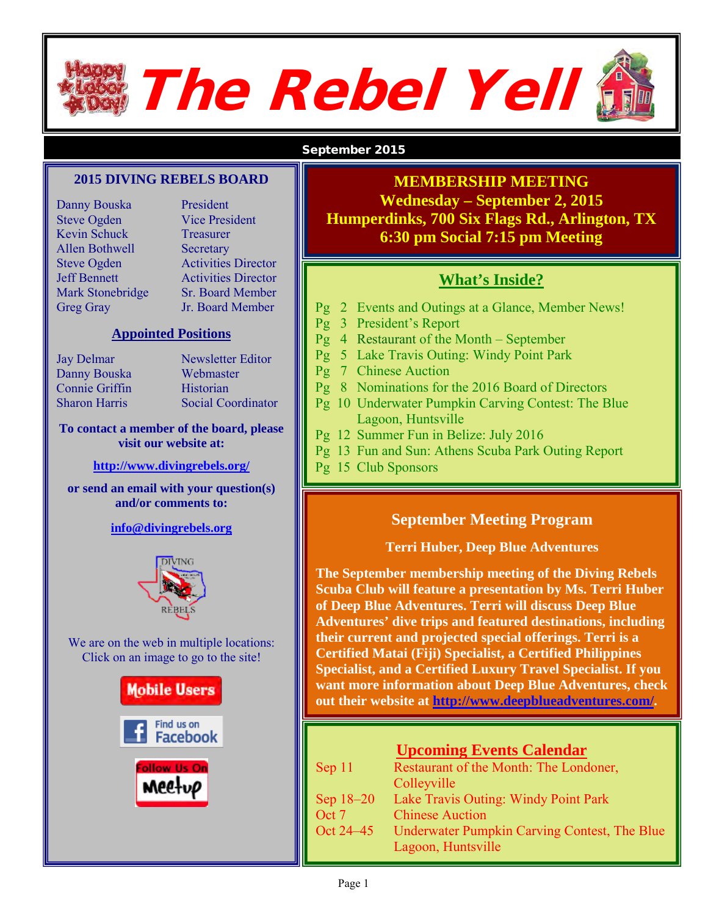# The Rebel Yell

#### September 2015

#### **2015 DIVING REBELS BOARD**

Danny Bouska President Steve Ogden Vice President Kevin Schuck Treasurer Allen Bothwell Secretary

Steve Ogden Activities Director Jeff Bennett Activities Director Mark Stonebridge Sr. Board Member Greg Gray Jr. Board Member

#### **Appointed Positions**

Danny Bouska Webmaster Connie Griffin Historian

Jay Delmar Newsletter Editor Sharon Harris Social Coordinator

#### **To contact a member of the board, please visit our website at:**

#### **<http://www.divingrebels.org/>**

**or send an email with your question(s) and/or comments to:**

#### **[info@divingrebels.org](mailto:info@divingrebels.org)**



We are on the web in multiple locations: Click on an image to go to the site!



#### **MEMBERSHIP MEETING Wednesday – September 2, 2015 Humperdinks, 700 Six Flags Rd., Arlington, TX 6:30 pm Social 7:15 pm Meeting**

#### **What's Inside?**

- Pg 2 Events and Outings at a Glance, Member News!
- Pg 3 President's Report
- Pg 4 Restaurant of the Month September
- Pg 5 Lake Travis Outing: Windy Point Park
- Pg 7 Chinese Auction
- Pg 8 Nominations for the 2016 Board of Directors
- Pg 10 Underwater Pumpkin Carving Contest: The Blue Lagoon, Huntsville
- Pg 12 Summer Fun in Belize: July 2016
- Pg 13 Fun and Sun: Athens Scuba Park Outing Report
- Pg 15 Club Sponsors

#### **September Meeting Program**

#### **Terri Huber, Deep Blue Adventures**

**The September membership meeting of the Diving Rebels Scuba Club will feature a presentation by Ms. Terri Huber of Deep Blue Adventures. Terri will discuss Deep Blue Adventures' dive trips and featured destinations, including their current and projected special offerings. Terri is a Certified Matai (Fiji) Specialist, a Certified Philippines Specialist, and a Certified Luxury Travel Specialist. If you want more information about Deep Blue Adventures, check out their website at [http://www.deepblueadventures.com/.](http://www.deepblueadventures.com/)** 

|           | <b>Upcoming Events Calendar</b>                     |
|-----------|-----------------------------------------------------|
| Sep 11    | Restaurant of the Month: The Londoner,              |
|           | <b>Colleyville</b>                                  |
| Sep 18-20 | Lake Travis Outing: Windy Point Park                |
| Oct 7     | <b>Chinese Auction</b>                              |
| Oct 24–45 | <b>Underwater Pumpkin Carving Contest, The Blue</b> |
|           | Lagoon, Huntsville                                  |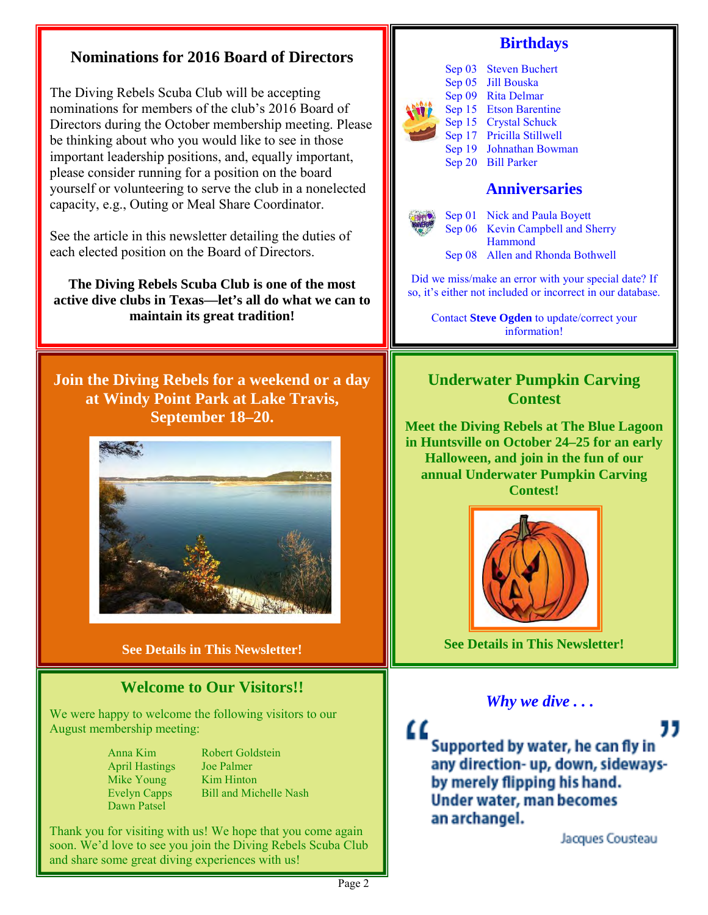#### **Birthdays Nominations for 2016 Board of Directors** Sep 03 Steven Buchert Sep 05 Jill Bouska The Diving Rebels Scuba Club will be accepting Sep 09 Rita Delmar nominations for members of the club's 2016 Board of Sep 15 Etson Barentine Sep 15 Crystal Schuck Directors during the October membership meeting. Please Sep 17 Pricilla Stillwell be thinking about who you would like to see in those Sep 19 Johnathan Bowman important leadership positions, and, equally important, Sep 20 Bill Parker please consider running for a position on the board yourself or volunteering to serve the club in a nonelected **Anniversaries** capacity, e.g., Outing or Meal Share Coordinator. Sep 01 Nick and Paula Boyett Sep 06 Kevin Campbell and Sherry See the article in this newsletter detailing the duties of Hammond each elected position on the Board of Directors. Sep 08 Allen and Rhonda Bothwell Did we miss/make an error with your special date? If **The Diving Rebels Scuba Club is one of the most**  so, it's either not included or incorrect in our database. **active dive clubs in Texas—let's all do what we can to maintain its great tradition!** Contact **Steve Ogden** to update/correct your information! **Join the Diving Rebels for a weekend or a day Underwater Pumpkin Carving at Windy Point Park at Lake Travis, Contest September 18–20. Meet the Diving Rebels at The Blue Lagoon in Huntsville on October 24–25 for an early Halloween, and join in the fun of our annual Underwater Pumpkin Carving Contest! See Details in This Newsletter! See Details in This Newsletter! Welcome to Our Visitors!!** *Why we dive . . .* We were happy to welcome the following visitors to our August membership meeting: Supported by water, he can fly in Anna Kim Robert Goldstein any direction- up, down, sideways-April Hastings Joe Palmer Mike Young Kim Hinton by merely flipping his hand. Evelyn Capps Bill and Michelle Nash Under water, man becomes Dawn Patsel an archangel. Thank you for visiting with us! We hope that you come again Jacques Cousteau soon. We'd love to see you join the Diving Rebels Scuba Club and share some great diving experiences with us!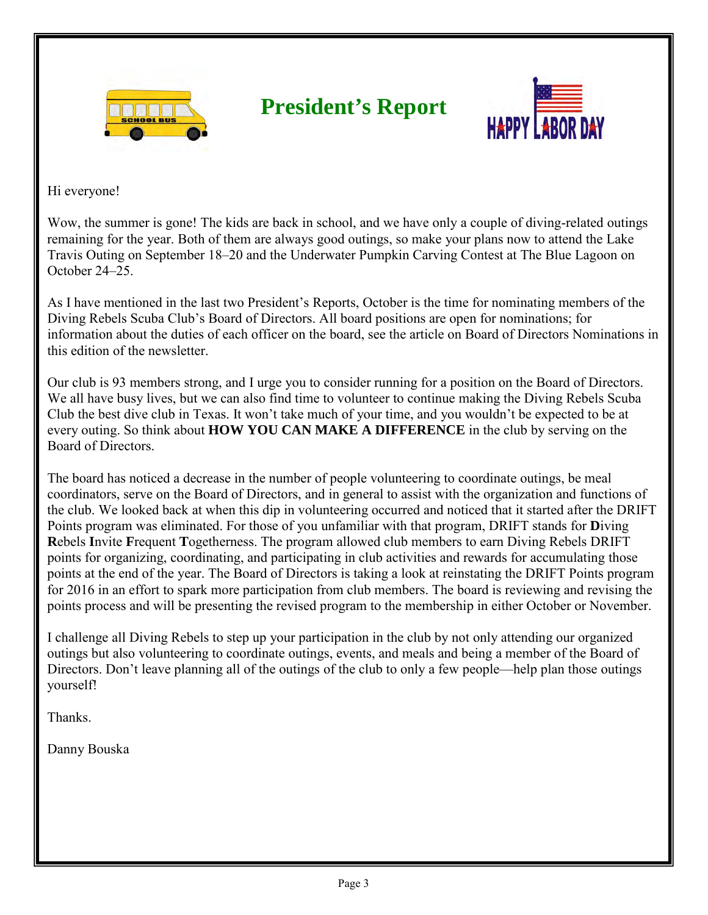

## **President's Report**



Hi everyone!

Wow, the summer is gone! The kids are back in school, and we have only a couple of diving-related outings remaining for the year. Both of them are always good outings, so make your plans now to attend the Lake Travis Outing on September 18–20 and the Underwater Pumpkin Carving Contest at The Blue Lagoon on October 24–25.

As I have mentioned in the last two President's Reports, October is the time for nominating members of the Diving Rebels Scuba Club's Board of Directors. All board positions are open for nominations; for information about the duties of each officer on the board, see the article on Board of Directors Nominations in this edition of the newsletter.

Our club is 93 members strong, and I urge you to consider running for a position on the Board of Directors. We all have busy lives, but we can also find time to volunteer to continue making the Diving Rebels Scuba Club the best dive club in Texas. It won't take much of your time, and you wouldn't be expected to be at every outing. So think about **HOW YOU CAN MAKE A DIFFERENCE** in the club by serving on the Board of Directors.

The board has noticed a decrease in the number of people volunteering to coordinate outings, be meal coordinators, serve on the Board of Directors, and in general to assist with the organization and functions of the club. We looked back at when this dip in volunteering occurred and noticed that it started after the DRIFT Points program was eliminated. For those of you unfamiliar with that program, DRIFT stands for **D**iving **R**ebels **I**nvite **F**requent **T**ogetherness. The program allowed club members to earn Diving Rebels DRIFT points for organizing, coordinating, and participating in club activities and rewards for accumulating those points at the end of the year. The Board of Directors is taking a look at reinstating the DRIFT Points program for 2016 in an effort to spark more participation from club members. The board is reviewing and revising the points process and will be presenting the revised program to the membership in either October or November.

I challenge all Diving Rebels to step up your participation in the club by not only attending our organized outings but also volunteering to coordinate outings, events, and meals and being a member of the Board of Directors. Don't leave planning all of the outings of the club to only a few people—help plan those outings yourself!

Thanks.

Danny Bouska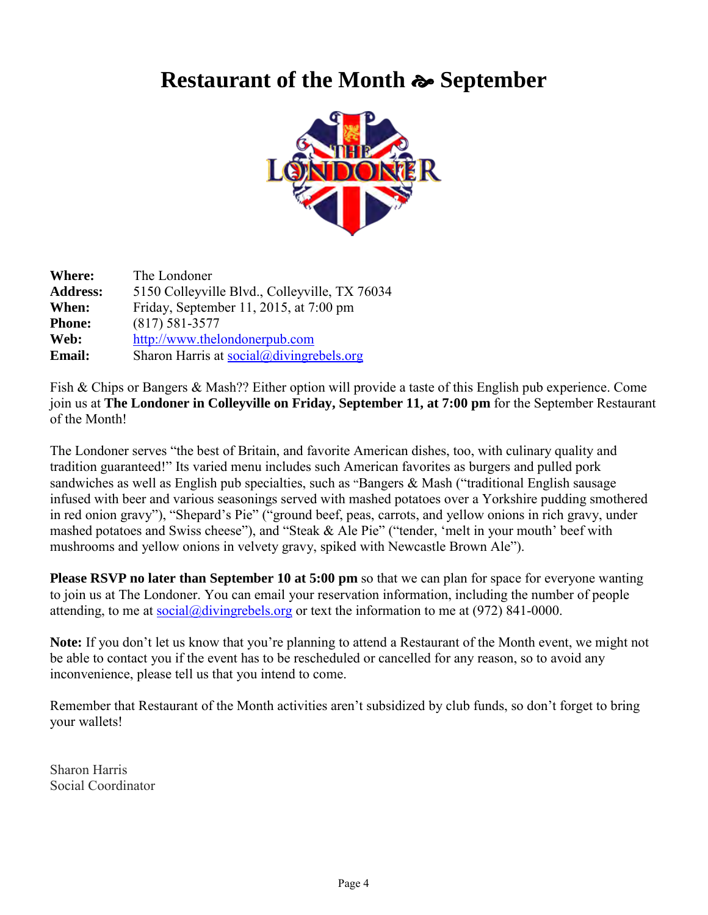## **Restaurant of the Month**  $\approx$  **September**



| Where:          | The Londoner                                         |
|-----------------|------------------------------------------------------|
| <b>Address:</b> | 5150 Colleyville Blvd., Colleyville, TX 76034        |
| When:           | Friday, September 11, 2015, at 7:00 pm               |
| <b>Phone:</b>   | $(817) 581 - 3577$                                   |
| Web:            | http://www.thelondonerpub.com                        |
| <b>Email:</b>   | Sharon Harris at $social(\partial,$ divingrebels.org |

Fish & Chips or Bangers & Mash?? Either option will provide a taste of this English pub experience. Come join us at **The Londoner in Colleyville on Friday, September 11, at 7:00 pm** for the September Restaurant of the Month!

The Londoner serves "the best of Britain, and favorite American dishes, too, with culinary quality and tradition guaranteed!" Its varied menu includes such American favorites as burgers and pulled pork sandwiches as well as English pub specialties, such as "Bangers & Mash ("traditional English sausage infused with beer and various seasonings served with mashed potatoes over a Yorkshire pudding smothered in red onion gravy"), "Shepard's Pie" ("ground beef, peas, carrots, and yellow onions in rich gravy, under mashed potatoes and Swiss cheese"), and "Steak & Ale Pie" ("tender, 'melt in your mouth' beef with mushrooms and yellow onions in velvety gravy, spiked with Newcastle Brown Ale").

**Please RSVP no later than September 10 at 5:00 pm** so that we can plan for space for everyone wanting to join us at The Londoner. You can email your reservation information, including the number of people attending, to me at  $\frac{\partial \dot{\alpha}}{\partial x}$  at  $\frac{\partial \dot{\alpha}}{\partial y}$  or text the information to me at (972) 841-0000.

**Note:** If you don't let us know that you're planning to attend a Restaurant of the Month event, we might not be able to contact you if the event has to be rescheduled or cancelled for any reason, so to avoid any inconvenience, please tell us that you intend to come.

Remember that Restaurant of the Month activities aren't subsidized by club funds, so don't forget to bring your wallets!

Sharon Harris Social Coordinator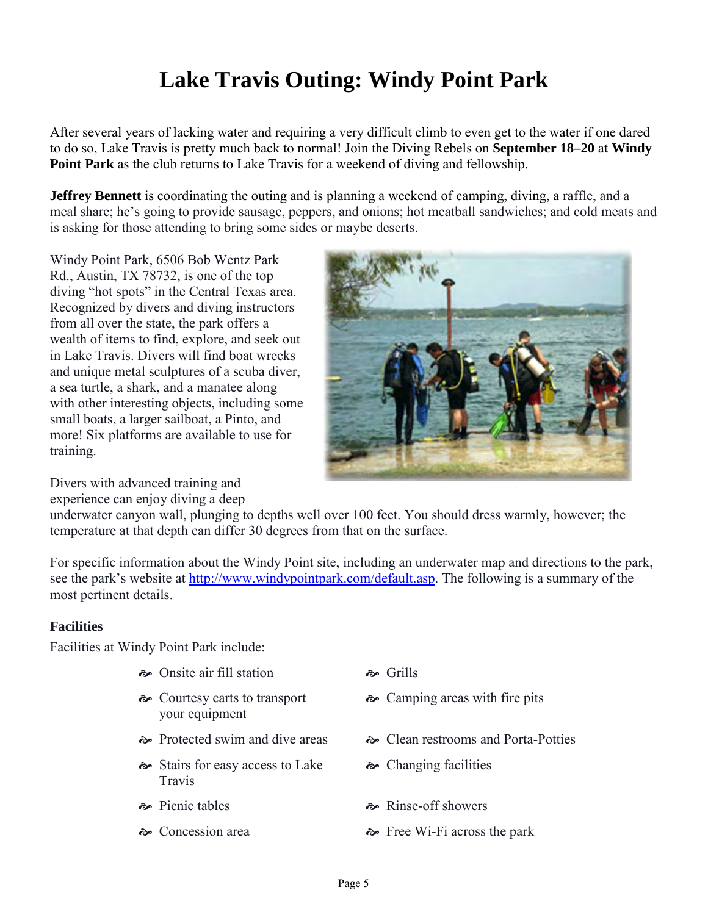# **Lake Travis Outing: Windy Point Park**

After several years of lacking water and requiring a very difficult climb to even get to the water if one dared to do so, Lake Travis is pretty much back to normal! Join the Diving Rebels on **September 18–20** at **Windy Point Park** as the club returns to Lake Travis for a weekend of diving and fellowship.

**Jeffrey Bennett** is coordinating the outing and is planning a weekend of camping, diving, a raffle, and a meal share; he's going to provide sausage, peppers, and onions; hot meatball sandwiches; and cold meats and is asking for those attending to bring some sides or maybe deserts.

Windy Point Park, 6506 Bob Wentz Park Rd., Austin, TX 78732, is one of the top diving "hot spots" in the Central Texas area. Recognized by divers and diving instructors from all over the state, the park offers a wealth of items to find, explore, and seek out in Lake Travis. Divers will find boat wrecks and unique metal sculptures of a scuba diver, a sea turtle, a shark, and a manatee along with other interesting objects, including some small boats, a larger sailboat, a Pinto, and more! Six platforms are available to use for training.



Divers with advanced training and experience can enjoy diving a deep

underwater canyon wall, plunging to depths well over 100 feet. You should dress warmly, however; the temperature at that depth can differ 30 degrees from that on the surface.

For specific information about the Windy Point site, including an underwater map and directions to the park, see the park's website at [http://www.windypointpark.com/default.asp.](http://www.windypointpark.com/default.asp) The following is a summary of the most pertinent details.

#### **Facilities**

Facilities at Windy Point Park include:

- $\approx$  Onsite air fill station  $\approx$  Grills
- Courtesy carts to transport your equipment
- 
- $\sim$  Stairs for easy access to Lake Travis
- 
- 
- 
- Camping areas with fire pits
- Protected swim and dive areas Clean restrooms and Porta-Potties
	- Changing facilities
- $\approx$  Picnic tables  $\approx$  Rinse-off showers
- $\approx$  Concession area  $\approx$  Free Wi-Fi across the park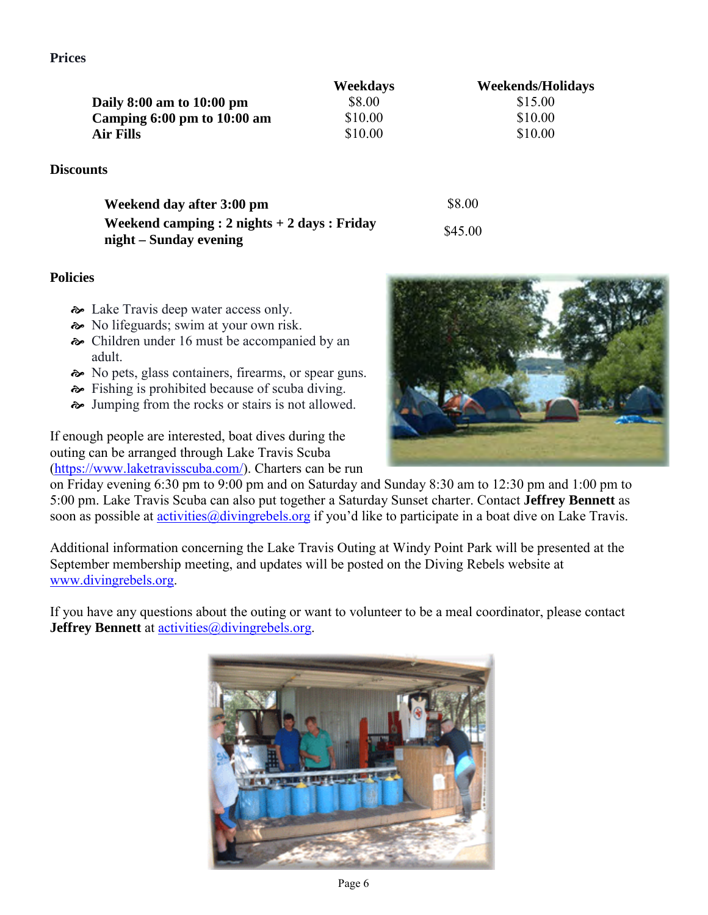**Prices**

|                                 | Weekdays | <b>Weekends/Holidays</b> |
|---------------------------------|----------|--------------------------|
| Daily $8:00$ am to $10:00$ pm   | \$8.00   | \$15.00                  |
| Camping $6:00$ pm to $10:00$ am | \$10.00  | \$10.00                  |
| Air Fills                       | \$10.00  | \$10.00                  |

#### **Discounts**

| Weekend day after 3:00 pm                        | \$8.00  |
|--------------------------------------------------|---------|
| Weekend camping : $2$ nights $+ 2$ days : Friday | \$45.00 |
| night – Sunday evening                           |         |

#### **Policies**

- $\rightarrow$  Lake Travis deep water access only.
- $\approx$  No lifeguards; swim at your own risk.
- Children under 16 must be accompanied by an adult.
- $\sim$  No pets, glass containers, firearms, or spear guns.
- Fishing is prohibited because of scuba diving.
- $\rightarrow$  Jumping from the rocks or stairs is not allowed.

If enough people are interested, boat dives during the outing can be arranged through Lake Travis Scuba [\(https://www.laketravisscuba.com/\)](https://www.laketravisscuba.com/). Charters can be run



on Friday evening 6:30 pm to 9:00 pm and on Saturday and Sunday 8:30 am to 12:30 pm and 1:00 pm to 5:00 pm. Lake Travis Scuba can also put together a Saturday Sunset charter. Contact **Jeffrey Bennett** as soon as possible at *activities@divingrebels.org* if you'd like to participate in a boat dive on Lake Travis.

Additional information concerning the Lake Travis Outing at Windy Point Park will be presented at the September membership meeting, and updates will be posted on the Diving Rebels website at [www.divingrebels.org.](http://www.divingrebels.org/)

If you have any questions about the outing or want to volunteer to be a meal coordinator, please contact **Jeffrey Bennett** at [activities@divingrebels.org.](mailto:activities@divingrebels.org)

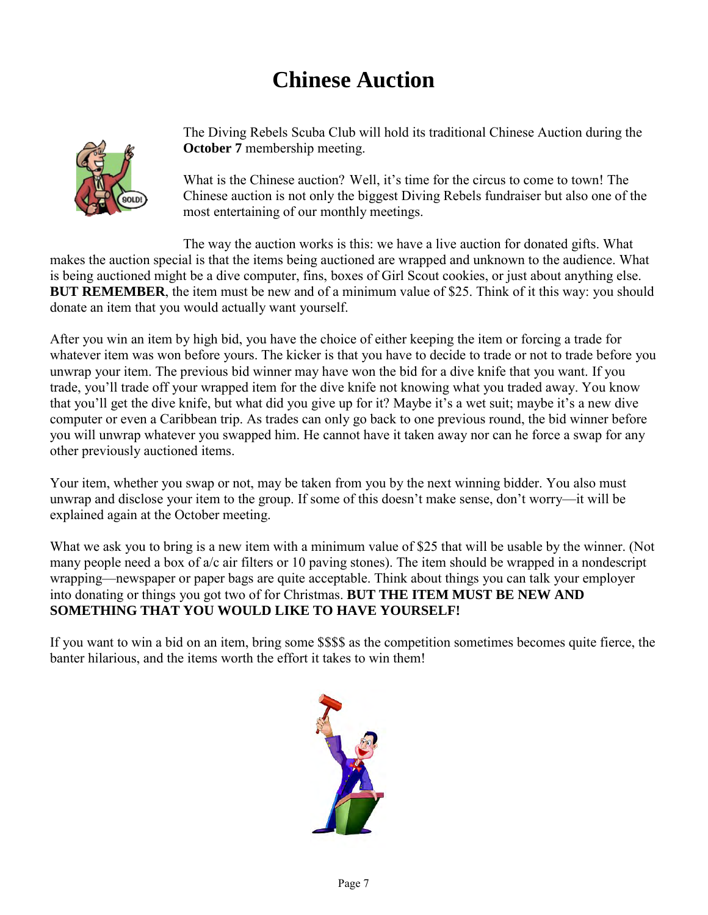# **Chinese Auction**



The Diving Rebels Scuba Club will hold its traditional Chinese Auction during the **October 7** membership meeting.

What is the Chinese auction? Well, it's time for the circus to come to town! The Chinese auction is not only the biggest Diving Rebels fundraiser but also one of the most entertaining of our monthly meetings.

The way the auction works is this: we have a live auction for donated gifts. What makes the auction special is that the items being auctioned are wrapped and unknown to the audience. What is being auctioned might be a dive computer, fins, boxes of Girl Scout cookies, or just about anything else. **BUT REMEMBER**, the item must be new and of a minimum value of \$25. Think of it this way: you should donate an item that you would actually want yourself.

After you win an item by high bid, you have the choice of either keeping the item or forcing a trade for whatever item was won before yours. The kicker is that you have to decide to trade or not to trade before you unwrap your item. The previous bid winner may have won the bid for a dive knife that you want. If you trade, you'll trade off your wrapped item for the dive knife not knowing what you traded away. You know that you'll get the dive knife, but what did you give up for it? Maybe it's a wet suit; maybe it's a new dive computer or even a Caribbean trip. As trades can only go back to one previous round, the bid winner before you will unwrap whatever you swapped him. He cannot have it taken away nor can he force a swap for any other previously auctioned items.

Your item, whether you swap or not, may be taken from you by the next winning bidder. You also must unwrap and disclose your item to the group. If some of this doesn't make sense, don't worry—it will be explained again at the October meeting.

What we ask you to bring is a new item with a minimum value of \$25 that will be usable by the winner. (Not many people need a box of a/c air filters or 10 paving stones). The item should be wrapped in a nondescript wrapping—newspaper or paper bags are quite acceptable. Think about things you can talk your employer into donating or things you got two of for Christmas. **BUT THE ITEM MUST BE NEW AND SOMETHING THAT YOU WOULD LIKE TO HAVE YOURSELF!** 

If you want to win a bid on an item, bring some \$\$\$\$ as the competition sometimes becomes quite fierce, the banter hilarious, and the items worth the effort it takes to win them!

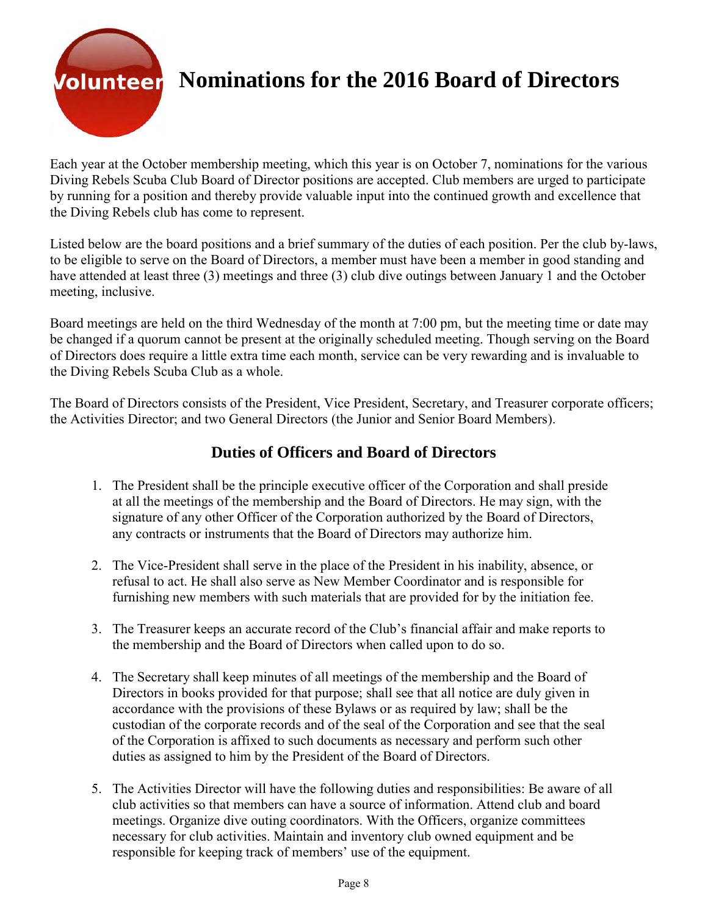

## **Volunteer** Nominations for the 2016 Board of Directors

Each year at the October membership meeting, which this year is on October 7, nominations for the various Diving Rebels Scuba Club Board of Director positions are accepted. Club members are urged to participate by running for a position and thereby provide valuable input into the continued growth and excellence that the Diving Rebels club has come to represent.

Listed below are the board positions and a brief summary of the duties of each position. Per the club by-laws, to be eligible to serve on the Board of Directors, a member must have been a member in good standing and have attended at least three (3) meetings and three (3) club dive outings between January 1 and the October meeting, inclusive.

Board meetings are held on the third Wednesday of the month at 7:00 pm, but the meeting time or date may be changed if a quorum cannot be present at the originally scheduled meeting. Though serving on the Board of Directors does require a little extra time each month, service can be very rewarding and is invaluable to the Diving Rebels Scuba Club as a whole.

The Board of Directors consists of the President, Vice President, Secretary, and Treasurer corporate officers; the Activities Director; and two General Directors (the Junior and Senior Board Members).

#### **Duties of Officers and Board of Directors**

- 1. The President shall be the principle executive officer of the Corporation and shall preside at all the meetings of the membership and the Board of Directors. He may sign, with the signature of any other Officer of the Corporation authorized by the Board of Directors, any contracts or instruments that the Board of Directors may authorize him.
- 2. The Vice-President shall serve in the place of the President in his inability, absence, or refusal to act. He shall also serve as New Member Coordinator and is responsible for furnishing new members with such materials that are provided for by the initiation fee.
- 3. The Treasurer keeps an accurate record of the Club's financial affair and make reports to the membership and the Board of Directors when called upon to do so.
- 4. The Secretary shall keep minutes of all meetings of the membership and the Board of Directors in books provided for that purpose; shall see that all notice are duly given in accordance with the provisions of these Bylaws or as required by law; shall be the custodian of the corporate records and of the seal of the Corporation and see that the seal of the Corporation is affixed to such documents as necessary and perform such other duties as assigned to him by the President of the Board of Directors.
- 5. The Activities Director will have the following duties and responsibilities: Be aware of all club activities so that members can have a source of information. Attend club and board meetings. Organize dive outing coordinators. With the Officers, organize committees necessary for club activities. Maintain and inventory club owned equipment and be responsible for keeping track of members' use of the equipment.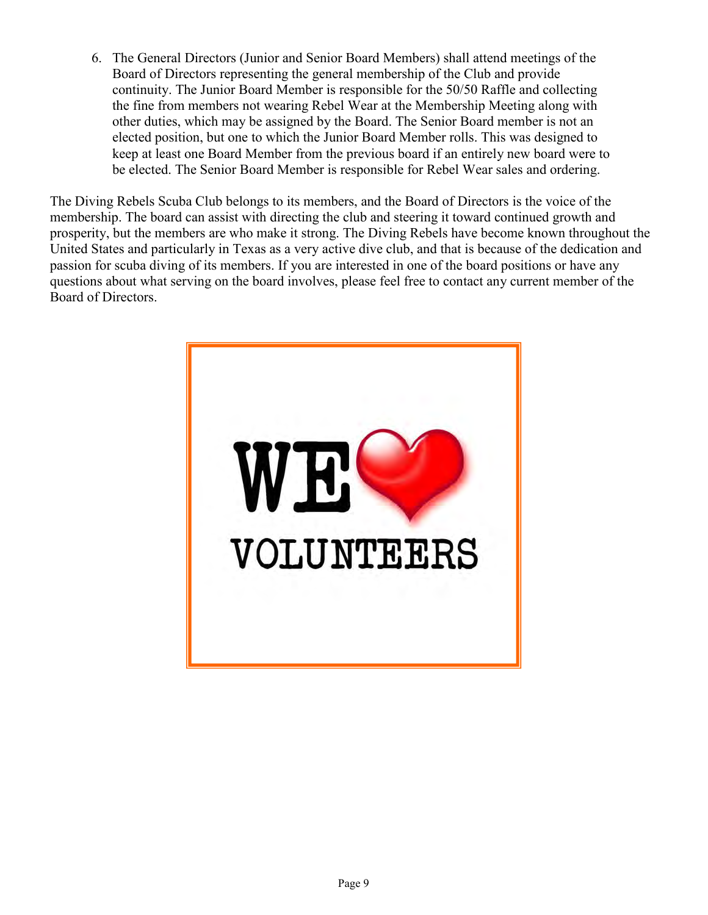6. The General Directors (Junior and Senior Board Members) shall attend meetings of the Board of Directors representing the general membership of the Club and provide continuity. The Junior Board Member is responsible for the 50/50 Raffle and collecting the fine from members not wearing Rebel Wear at the Membership Meeting along with other duties, which may be assigned by the Board. The Senior Board member is not an elected position, but one to which the Junior Board Member rolls. This was designed to keep at least one Board Member from the previous board if an entirely new board were to be elected. The Senior Board Member is responsible for Rebel Wear sales and ordering.

The Diving Rebels Scuba Club belongs to its members, and the Board of Directors is the voice of the membership. The board can assist with directing the club and steering it toward continued growth and prosperity, but the members are who make it strong. The Diving Rebels have become known throughout the United States and particularly in Texas as a very active dive club, and that is because of the dedication and passion for scuba diving of its members. If you are interested in one of the board positions or have any questions about what serving on the board involves, please feel free to contact any current member of the Board of Directors.

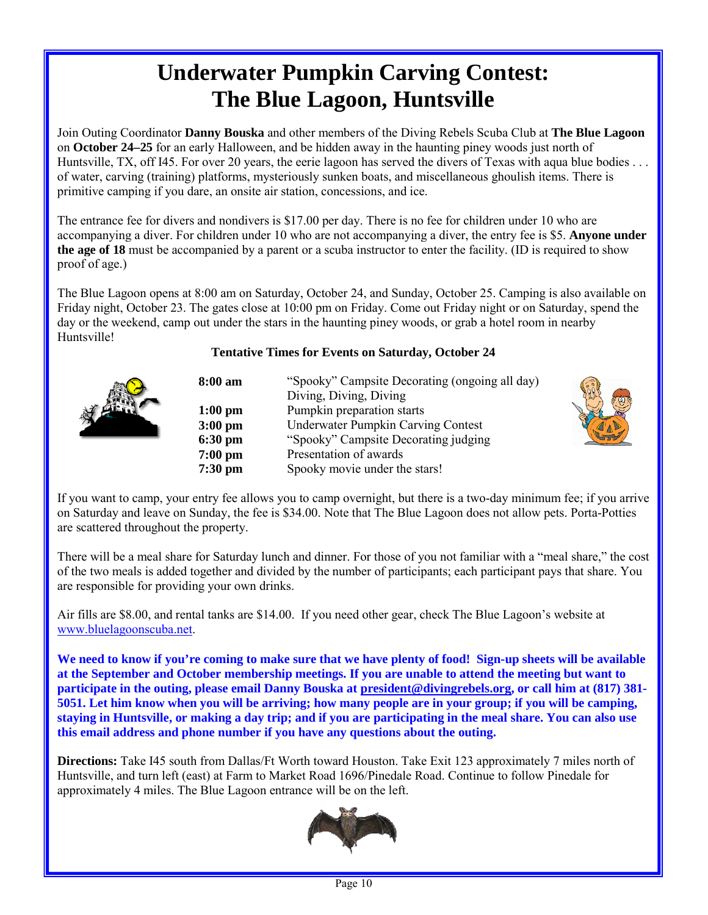# **Underwater Pumpkin Carving Contest: The Blue Lagoon, Huntsville**

Join Outing Coordinator **Danny Bouska** and other members of the Diving Rebels Scuba Club at **The Blue Lagoon** on **October 24–25** for an early Halloween, and be hidden away in the haunting piney woods just north of Huntsville, TX, off I45. For over 20 years, the eerie lagoon has served the divers of Texas with aqua blue bodies ... of water, carving (training) platforms, mysteriously sunken boats, and miscellaneous ghoulish items. There is primitive camping if you dare, an onsite air station, concessions, and ice.

The entrance fee for divers and nondivers is \$17.00 per day. There is no fee for children under 10 who are accompanying a diver. For children under 10 who are not accompanying a diver, the entry fee is \$5. **Anyone under the age of 18** must be accompanied by a parent or a scuba instructor to enter the facility. (ID is required to show proof of age.)

The Blue Lagoon opens at 8:00 am on Saturday, October 24, and Sunday, October 25. Camping is also available on Friday night, October 23. The gates close at 10:00 pm on Friday. Come out Friday night or on Saturday, spend the day or the weekend, camp out under the stars in the haunting piney woods, or grab a hotel room in nearby Huntsville!

#### **Tentative Times for Events on Saturday, October 24**



| 8:00 am   | "Spooky" Campsite Decorating (ongoing all day) |
|-----------|------------------------------------------------|
|           | Diving, Diving, Diving                         |
| $1:00$ pm | Pumpkin preparation starts                     |
| $3:00$ pm | <b>Underwater Pumpkin Carving Contest</b>      |
| $6:30$ pm | "Spooky" Campsite Decorating judging           |
| $7:00$ pm | Presentation of awards                         |
| $7:30$ pm | Spooky movie under the stars!                  |



If you want to camp, your entry fee allows you to camp overnight, but there is a two-day minimum fee; if you arrive on Saturday and leave on Sunday, the fee is \$34.00. Note that The Blue Lagoon does not allow pets. Porta-Potties are scattered throughout the property.

There will be a meal share for Saturday lunch and dinner. For those of you not familiar with a "meal share," the cost of the two meals is added together and divided by the number of participants; each participant pays that share. You are responsible for providing your own drinks.

Air fills are \$8.00, and rental tanks are \$14.00. If you need other gear, check The Blue Lagoon's website at [www.bluelagoonscuba.net.](http://www.bluelagoonscuba.net/)

**We need to know if you're coming to make sure that we have plenty of food! Sign-up sheets will be available at the September and October membership meetings. If you are unable to attend the meeting but want to participate in the outing, please email Danny Bouska at [president@divingrebels.org,](mailto:president@divingrebels.org) or call him at (817) 381- 5051. Let him know when you will be arriving; how many people are in your group; if you will be camping, staying in Huntsville, or making a day trip; and if you are participating in the meal share. You can also use this email address and phone number if you have any questions about the outing.**

**Directions:** Take I45 south from Dallas/Ft Worth toward Houston. Take Exit 123 approximately 7 miles north of Huntsville, and turn left (east) at Farm to Market Road 1696/Pinedale Road. Continue to follow Pinedale for approximately 4 miles. The Blue Lagoon entrance will be on the left.

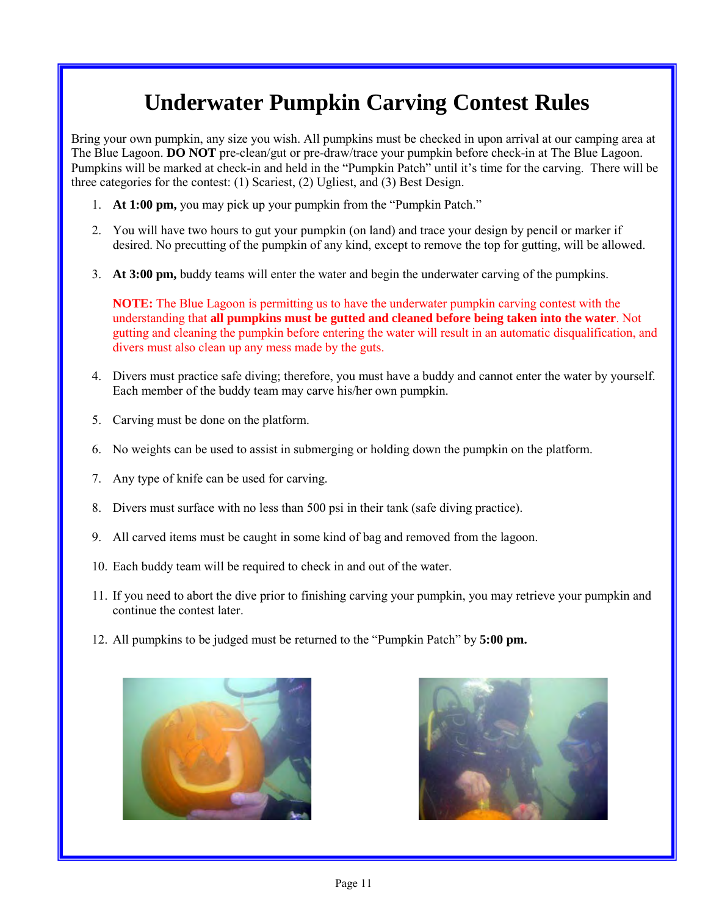# **Underwater Pumpkin Carving Contest Rules**

Bring your own pumpkin, any size you wish. All pumpkins must be checked in upon arrival at our camping area at The Blue Lagoon. **DO NOT** pre-clean/gut or pre-draw/trace your pumpkin before check-in at The Blue Lagoon. Pumpkins will be marked at check-in and held in the "Pumpkin Patch" until it's time for the carving. There will be three categories for the contest: (1) Scariest, (2) Ugliest, and (3) Best Design.

- 1. **At 1:00 pm,** you may pick up your pumpkin from the "Pumpkin Patch."
- 2. You will have two hours to gut your pumpkin (on land) and trace your design by pencil or marker if desired. No precutting of the pumpkin of any kind, except to remove the top for gutting, will be allowed.
- 3. **At 3:00 pm,** buddy teams will enter the water and begin the underwater carving of the pumpkins.

**NOTE:** The Blue Lagoon is permitting us to have the underwater pumpkin carving contest with the understanding that **all pumpkins must be gutted and cleaned before being taken into the water**. Not gutting and cleaning the pumpkin before entering the water will result in an automatic disqualification, and divers must also clean up any mess made by the guts.

- 4. Divers must practice safe diving; therefore, you must have a buddy and cannot enter the water by yourself. Each member of the buddy team may carve his/her own pumpkin.
- 5. Carving must be done on the platform.
- 6. No weights can be used to assist in submerging or holding down the pumpkin on the platform.
- 7. Any type of knife can be used for carving.
- 8. Divers must surface with no less than 500 psi in their tank (safe diving practice).
- 9. All carved items must be caught in some kind of bag and removed from the lagoon.
- 10. Each buddy team will be required to check in and out of the water.
- 11. If you need to abort the dive prior to finishing carving your pumpkin, you may retrieve your pumpkin and continue the contest later.
- 12. All pumpkins to be judged must be returned to the "Pumpkin Patch" by **5:00 pm.**



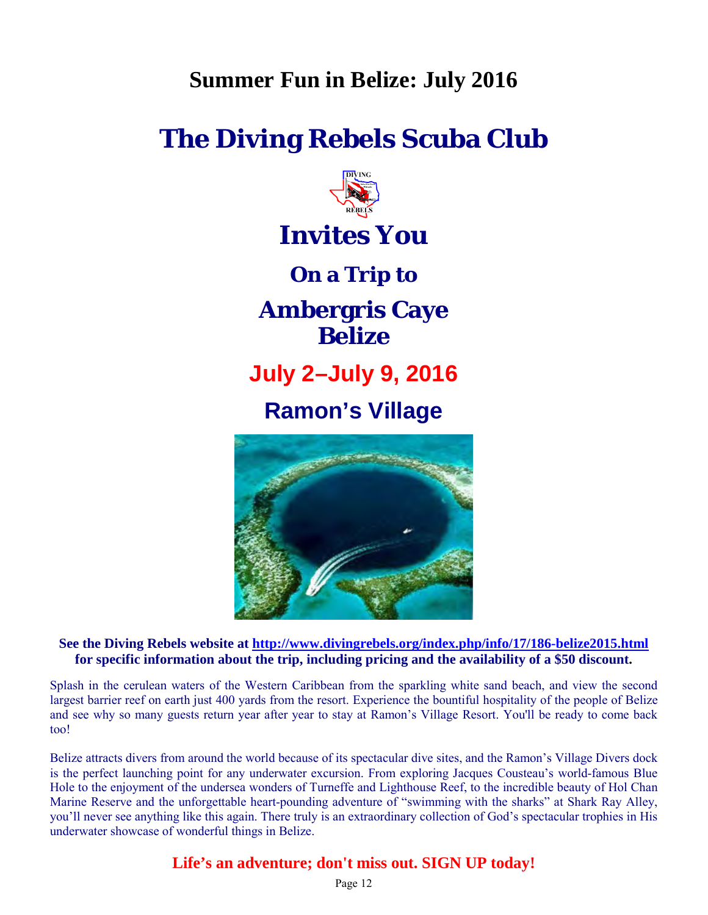## **Summer Fun in Belize: July 2016**

# **The Diving Rebels Scuba Club**



# **Invites You**

**On a Trip to** 

**Ambergris Caye Belize**

**July 2–July 9, 2016**

## **Ramon's Village**



**See the Diving Rebels website at<http://www.divingrebels.org/index.php/info/17/186-belize2015.html> for specific information about the trip, including pricing and the availability of a \$50 discount.** 

Splash in the cerulean waters of the Western Caribbean from the sparkling white sand beach, and view the second largest barrier reef on earth just 400 yards from the resort. Experience the bountiful hospitality of the people of Belize and see why so many guests return year after year to stay at Ramon's Village Resort. You'll be ready to come back too!

Belize attracts divers from around the world because of its spectacular dive sites, and the Ramon's Village Divers dock is the perfect launching point for any underwater excursion. From exploring Jacques Cousteau's world-famous Blue Hole to the enjoyment of the undersea wonders of Turneffe and Lighthouse Reef, to the incredible beauty of Hol Chan Marine Reserve and the unforgettable heart-pounding adventure of "swimming with the sharks" at Shark Ray Alley, you'll never see anything like this again. There truly is an extraordinary collection of God's spectacular trophies in His underwater showcase of wonderful things in Belize.

#### **Life's an adventure; don't miss out. SIGN UP today!**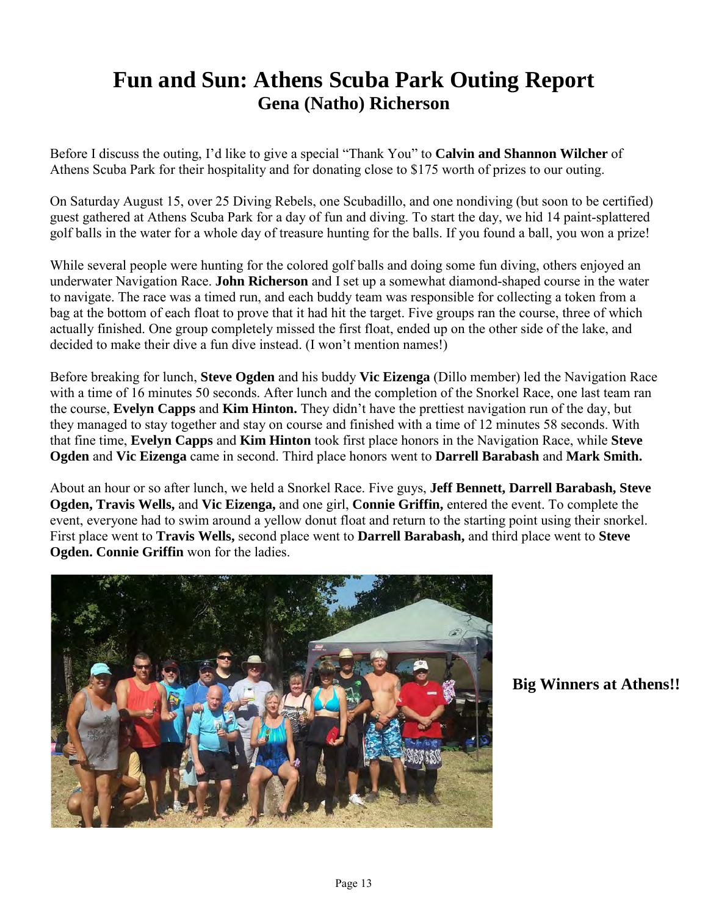## **Fun and Sun: Athens Scuba Park Outing Report Gena (Natho) Richerson**

Before I discuss the outing, I'd like to give a special "Thank You" to **Calvin and Shannon Wilcher** of Athens Scuba Park for their hospitality and for donating close to \$175 worth of prizes to our outing.

On Saturday August 15, over 25 Diving Rebels, one Scubadillo, and one nondiving (but soon to be certified) guest gathered at Athens Scuba Park for a day of fun and diving. To start the day, we hid 14 paint-splattered golf balls in the water for a whole day of treasure hunting for the balls. If you found a ball, you won a prize!

While several people were hunting for the colored golf balls and doing some fun diving, others enjoyed an underwater Navigation Race. **John Richerson** and I set up a somewhat diamond-shaped course in the water to navigate. The race was a timed run, and each buddy team was responsible for collecting a token from a bag at the bottom of each float to prove that it had hit the target. Five groups ran the course, three of which actually finished. One group completely missed the first float, ended up on the other side of the lake, and decided to make their dive a fun dive instead. (I won't mention names!)

Before breaking for lunch, **Steve Ogden** and his buddy **Vic Eizenga** (Dillo member) led the Navigation Race with a time of 16 minutes 50 seconds. After lunch and the completion of the Snorkel Race, one last team ran the course, **Evelyn Capps** and **Kim Hinton.** They didn't have the prettiest navigation run of the day, but they managed to stay together and stay on course and finished with a time of 12 minutes 58 seconds. With that fine time, **Evelyn Capps** and **Kim Hinton** took first place honors in the Navigation Race, while **Steve Ogden** and **Vic Eizenga** came in second. Third place honors went to **Darrell Barabash** and **Mark Smith.**

About an hour or so after lunch, we held a Snorkel Race. Five guys, **Jeff Bennett, Darrell Barabash, Steve Ogden, Travis Wells,** and **Vic Eizenga,** and one girl, **Connie Griffin,** entered the event. To complete the event, everyone had to swim around a yellow donut float and return to the starting point using their snorkel. First place went to **Travis Wells,** second place went to **Darrell Barabash,** and third place went to **Steve Ogden. Connie Griffin** won for the ladies.



**Big Winners at Athens!!**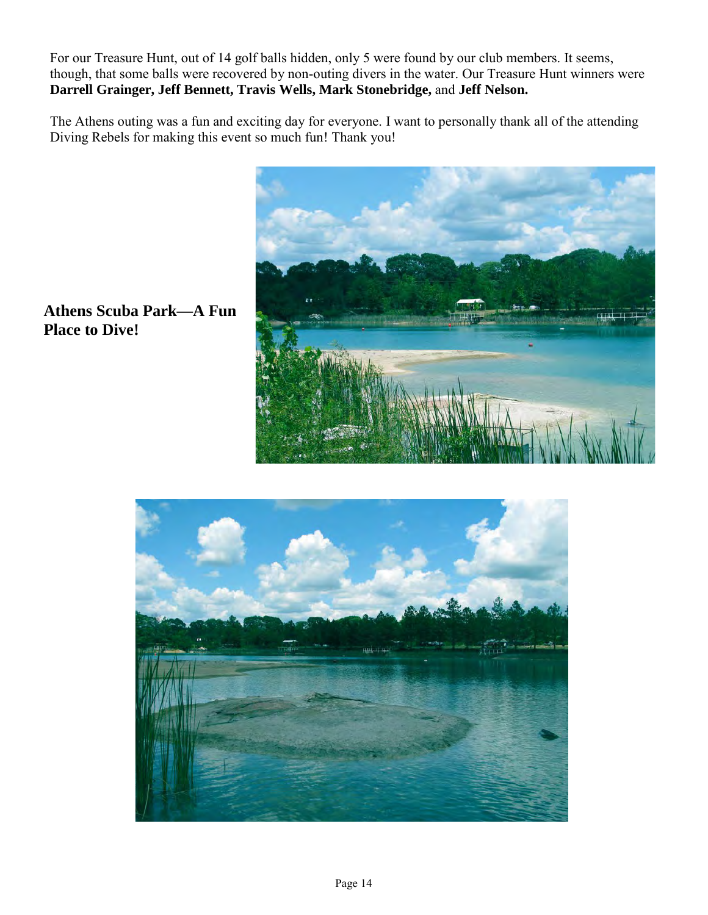For our Treasure Hunt, out of 14 golf balls hidden, only 5 were found by our club members. It seems, though, that some balls were recovered by non-outing divers in the water. Our Treasure Hunt winners were **Darrell Grainger, Jeff Bennett, Travis Wells, Mark Stonebridge,** and **Jeff Nelson.**

The Athens outing was a fun and exciting day for everyone. I want to personally thank all of the attending Diving Rebels for making this event so much fun! Thank you!



**Athens Scuba Park—A Fun Place to Dive!**